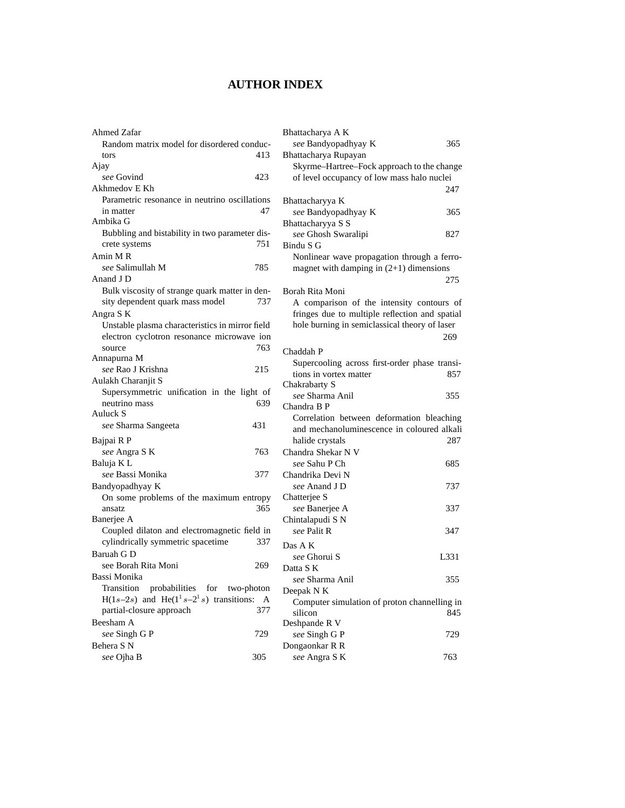## **AUTHOR INDEX**

| Ahmed Zafar                                      | Bhattacharya A K                               |  |
|--------------------------------------------------|------------------------------------------------|--|
| Random matrix model for disordered conduc-       | see Bandyopadhyay K<br>365                     |  |
| 413<br>tors                                      | Bhattacharya Rupayan                           |  |
| Ajay                                             | Skyrme-Hartree-Fock approach to the change     |  |
| 423<br>see Govind                                | of level occupancy of low mass halo nuclei     |  |
| Akhmedov E Kh                                    | 247                                            |  |
| Parametric resonance in neutrino oscillations    | Bhattacharyya K                                |  |
| 47<br>in matter                                  | see Bandyopadhyay K<br>365                     |  |
| Ambika G                                         | Bhattacharyya S S                              |  |
| Bubbling and bistability in two parameter dis-   | see Ghosh Swaralipi<br>827                     |  |
| crete systems<br>751                             | Bindu S G                                      |  |
| Amin M R                                         | Nonlinear wave propagation through a ferro-    |  |
| see Salimullah M<br>785                          | magnet with damping in $(2+1)$ dimensions      |  |
| Anand J D                                        | 275                                            |  |
| Bulk viscosity of strange quark matter in den-   | Borah Rita Moni                                |  |
| sity dependent quark mass model<br>737           | A comparison of the intensity contours of      |  |
| Angra S K                                        | fringes due to multiple reflection and spatial |  |
| Unstable plasma characteristics in mirror field  | hole burning in semiclassical theory of laser  |  |
| electron cyclotron resonance microwave ion       | 269                                            |  |
| source<br>763                                    | Chaddah P                                      |  |
| Annapurna M                                      | Supercooling across first-order phase transi-  |  |
| 215<br>see Rao J Krishna                         | tions in vortex matter<br>857                  |  |
| Aulakh Charanjit S                               | Chakrabarty S                                  |  |
| Supersymmetric unification in the light of       | see Sharma Anil<br>355                         |  |
| neutrino mass<br>639                             | Chandra B P                                    |  |
| Auluck S                                         | Correlation between deformation bleaching      |  |
| 431<br>see Sharma Sangeeta                       | and mechanoluminescence in coloured alkali     |  |
| Bajpai R P                                       | halide crystals<br>287                         |  |
| 763<br>see Angra S K                             | Chandra Shekar N V                             |  |
| Baluja KL                                        | see Sahu P Ch<br>685                           |  |
| see Bassi Monika<br>377                          | Chandrika Devi N                               |  |
| Bandyopadhyay K                                  | see Anand J D<br>737                           |  |
| On some problems of the maximum entropy          | Chatterjee S                                   |  |
| 365<br>ansatz                                    | 337<br>see Banerjee A                          |  |
| Banerjee A                                       | Chintalapudi S N                               |  |
| Coupled dilaton and electromagnetic field in     | see Palit R<br>347                             |  |
| cylindrically symmetric spacetime<br>337         | Das A K                                        |  |
| Baruah G D                                       | see Ghorui S<br>L331                           |  |
| see Borah Rita Moni<br>269                       | Datta S K                                      |  |
| Bassi Monika                                     | see Sharma Anil<br>355                         |  |
| probabilities<br>Transition<br>for<br>two-photon | Deepak N K                                     |  |
| H(1s-2s) and He( $1^1s-2^1s$ ) transitions: A    | Computer simulation of proton channelling in   |  |
| partial-closure approach<br>377                  | silicon<br>845                                 |  |
| Beesham A                                        | Deshpande R V                                  |  |
| see Singh G P<br>729                             | see Singh G P<br>729                           |  |
| Behera S N                                       | Dongaonkar R R                                 |  |
| 305<br>see Ojha B                                | 763<br>see Angra S K                           |  |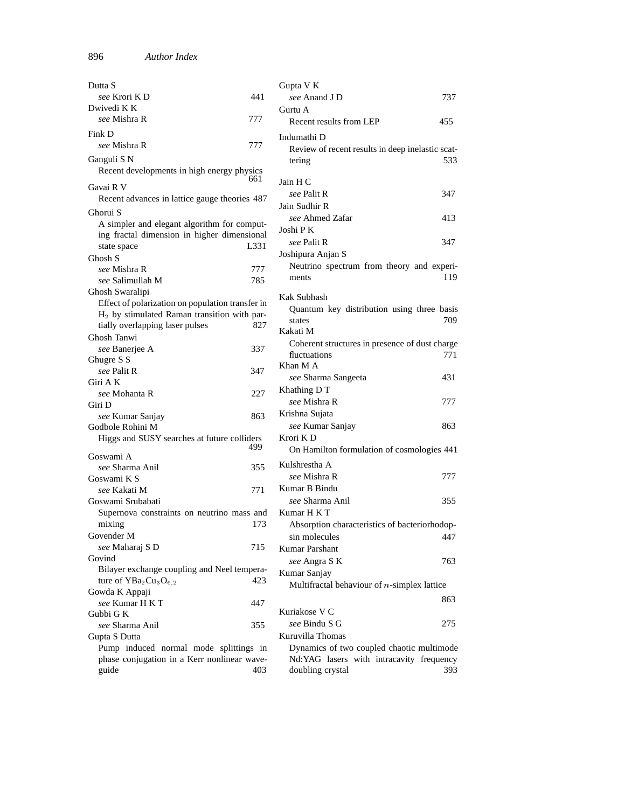| Dutta S                                                                               |      | Gupta V K                                                                             |     |
|---------------------------------------------------------------------------------------|------|---------------------------------------------------------------------------------------|-----|
| see Krori K D                                                                         | 441  | see Anand J D                                                                         | 737 |
| Dwivedi K K                                                                           |      | Gurtu A                                                                               |     |
| see Mishra R                                                                          | 777  | Recent results from LEP                                                               | 455 |
| Fink D                                                                                |      | Indumathi D                                                                           |     |
| see Mishra R                                                                          | 777  | Review of recent results in deep inelastic scat-                                      |     |
| Ganguli S N                                                                           |      | tering                                                                                | 533 |
| Recent developments in high energy physics                                            |      |                                                                                       |     |
| Gavai R V                                                                             | 661  | Jain H C                                                                              |     |
| Recent advances in lattice gauge theories 487                                         |      | see Palit R                                                                           | 347 |
|                                                                                       |      | Jain Sudhir R                                                                         |     |
| Ghorui S<br>A simpler and elegant algorithm for comput-                               |      | see Ahmed Zafar                                                                       | 413 |
| ing fractal dimension in higher dimensional                                           |      | Joshi P K                                                                             |     |
| state space                                                                           | L331 | see Palit R                                                                           | 347 |
| Ghosh S                                                                               |      | Joshipura Anjan S                                                                     |     |
| see Mishra R                                                                          | 777  | Neutrino spectrum from theory and experi-                                             |     |
| see Salimullah M                                                                      | 785  | ments                                                                                 | 119 |
| Ghosh Swaralipi                                                                       |      |                                                                                       |     |
| Effect of polarization on population transfer in                                      |      | Kak Subhash                                                                           |     |
| H <sub>2</sub> by stimulated Raman transition with par-                               |      | Quantum key distribution using three basis<br>states                                  | 709 |
| tially overlapping laser pulses                                                       | 827  | Kakati M                                                                              |     |
| Ghosh Tanwi                                                                           |      | Coherent structures in presence of dust charge                                        |     |
| see Banerjee A                                                                        | 337  | fluctuations                                                                          | 771 |
| Ghugre S S                                                                            |      | Khan M A                                                                              |     |
| see Palit R                                                                           | 347  | see Sharma Sangeeta                                                                   | 431 |
| Giri A K                                                                              |      | Khathing D T                                                                          |     |
| see Mohanta R<br>Giri D                                                               | 227  | see Mishra R                                                                          | 777 |
| see Kumar Sanjay                                                                      | 863  | Krishna Sujata                                                                        |     |
| Godbole Rohini M                                                                      |      | see Kumar Sanjay                                                                      | 863 |
| Higgs and SUSY searches at future colliders                                           |      | Krori KD                                                                              |     |
|                                                                                       | 499  | On Hamilton formulation of cosmologies 441                                            |     |
| Goswami A                                                                             |      | Kulshrestha A                                                                         |     |
| see Sharma Anil                                                                       | 355  | see Mishra R                                                                          | 777 |
| Goswami K S<br>see Kakati M                                                           | 771  | Kumar B Bindu                                                                         |     |
| Goswami Srubabati                                                                     |      | see Sharma Anil                                                                       | 355 |
| Supernova constraints on neutrino mass and                                            |      | Kumar H K T                                                                           |     |
| mixing                                                                                | 173  | Absorption characteristics of bacteriorhodop-                                         |     |
| Govender M                                                                            |      | sin molecules                                                                         | 447 |
| see Maharaj S D                                                                       | 715  | Kumar Parshant                                                                        |     |
| Govind                                                                                |      | see Angra SK                                                                          | 763 |
| Bilayer exchange coupling and Neel tempera-                                           |      | Kumar Sanjay                                                                          |     |
| ture of $YBa2Cu3O6$ <sub>2</sub><br>423                                               |      | Multifractal behaviour of $n$ -simplex lattice                                        |     |
| Gowda K Appaji                                                                        |      |                                                                                       |     |
| see Kumar H K T                                                                       | 447  | Kuriakose V C                                                                         | 863 |
| Gubbi G K                                                                             |      |                                                                                       |     |
| see Sharma Anil                                                                       | 355  | see Bindu S G<br>Kuruvilla Thomas                                                     | 275 |
| Gupta S Dutta                                                                         |      |                                                                                       |     |
| Pump induced normal mode splittings in<br>phase conjugation in a Kerr nonlinear wave- |      | Dynamics of two coupled chaotic multimode<br>Nd:YAG lasers with intracavity frequency |     |
| guide                                                                                 | 403  | doubling crystal                                                                      | 393 |
|                                                                                       |      |                                                                                       |     |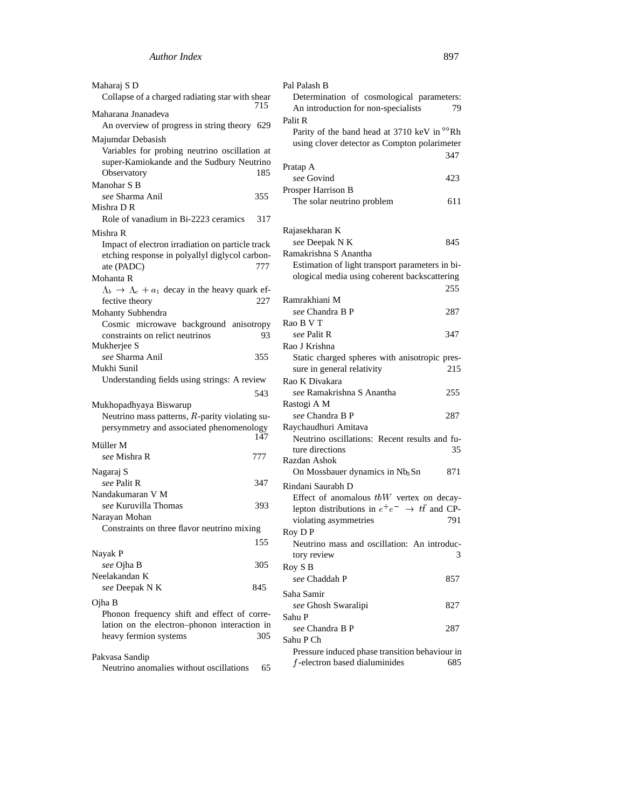| Maharaj S D<br>Collapse of a charged radiating star with shear                 | 715 | Pal Palash B<br>Determination of cosmological parameters:                                                 |     |
|--------------------------------------------------------------------------------|-----|-----------------------------------------------------------------------------------------------------------|-----|
| Maharana Jnanadeva<br>An overview of progress in string theory 629             |     | An introduction for non-specialists<br>Palit R<br>Parity of the band head at 3710 keV in <sup>99</sup> Rh | 79  |
| Majumdar Debasish                                                              |     | using clover detector as Compton polarimeter                                                              |     |
| Variables for probing neutrino oscillation at                                  |     |                                                                                                           | 347 |
| super-Kamiokande and the Sudbury Neutrino                                      |     | Pratap A                                                                                                  |     |
| Observatory                                                                    | 185 | see Govind                                                                                                | 423 |
| Manohar S B                                                                    |     | Prosper Harrison B                                                                                        |     |
| see Sharma Anil                                                                | 355 | The solar neutrino problem                                                                                | 611 |
| Mishra D R<br>Role of vanadium in Bi-2223 ceramics                             | 317 |                                                                                                           |     |
|                                                                                |     |                                                                                                           |     |
| Mishra R                                                                       |     | Rajasekharan K<br>see Deepak N K                                                                          | 845 |
| Impact of electron irradiation on particle track                               |     | Ramakrishna S Anantha                                                                                     |     |
| etching response in polyallyl diglycol carbon-                                 | 777 | Estimation of light transport parameters in bi-                                                           |     |
| ate (PADC)<br>Mohanta R                                                        |     | ological media using coherent backscattering                                                              |     |
|                                                                                |     |                                                                                                           | 255 |
| $\Lambda_b \to \Lambda_c + a_1$ decay in the heavy quark ef-<br>fective theory | 227 | Ramrakhiani M                                                                                             |     |
| Mohanty Subhendra                                                              |     | see Chandra B P                                                                                           | 287 |
| Cosmic microwave background anisotropy                                         |     | Rao B V T                                                                                                 |     |
| constraints on relict neutrinos                                                | 93  | see Palit R                                                                                               | 347 |
| Mukherjee S                                                                    |     | Rao J Krishna                                                                                             |     |
| see Sharma Anil                                                                | 355 | Static charged spheres with anisotropic pres-                                                             |     |
| Mukhi Sunil                                                                    |     | sure in general relativity                                                                                | 215 |
| Understanding fields using strings: A review                                   |     | Rao K Divakara                                                                                            |     |
|                                                                                | 543 | see Ramakrishna S Anantha                                                                                 | 255 |
| Mukhopadhyaya Biswarup                                                         |     | Rastogi A M                                                                                               |     |
| Neutrino mass patterns, R-parity violating su-                                 |     | see Chandra B P                                                                                           | 287 |
| persymmetry and associated phenomenology                                       |     | Raychaudhuri Amitava                                                                                      |     |
|                                                                                | 147 | Neutrino oscillations: Recent results and fu-                                                             |     |
| Müller M                                                                       |     | ture directions                                                                                           | 35  |
| see Mishra R                                                                   | 777 | Razdan Ashok                                                                                              |     |
| Nagaraj S                                                                      |     | On Mossbauer dynamics in Nb <sub>3</sub> Sn                                                               | 871 |
| see Palit R                                                                    | 347 | Rindani Saurabh D                                                                                         |     |
| Nandakumaran V M                                                               |     | Effect of anomalous $tbW$ vertex on decay-                                                                |     |
| see Kuruvilla Thomas                                                           | 393 | lepton distributions in $e^+e^- \rightarrow t\bar{t}$ and CP-                                             |     |
| Narayan Mohan                                                                  |     | violating asymmetries                                                                                     | 791 |
| Constraints on three flavor neutrino mixing                                    |     | Roy DP                                                                                                    |     |
|                                                                                | 155 | Neutrino mass and oscillation: An introduc-                                                               |     |
| Nayak P                                                                        |     | tory review                                                                                               | 3   |
| see Ojha B                                                                     | 305 | Roy S B                                                                                                   |     |
| Neelakandan K                                                                  |     | see Chaddah P                                                                                             | 857 |
| see Deepak N K                                                                 | 845 | Saha Samir                                                                                                |     |
| Ojha B                                                                         |     | see Ghosh Swaralipi                                                                                       | 827 |
| Phonon frequency shift and effect of corre-                                    |     | Sahu P                                                                                                    |     |
| lation on the electron-phonon interaction in                                   |     | see Chandra B P                                                                                           | 287 |
| heavy fermion systems                                                          | 305 | Sahu P Ch                                                                                                 |     |
| Pakvasa Sandip                                                                 |     | Pressure induced phase transition behaviour in                                                            |     |
| Neutrino anomalies without oscillations                                        | 65  | $f$ -electron based dialuminides                                                                          | 685 |
|                                                                                |     |                                                                                                           |     |